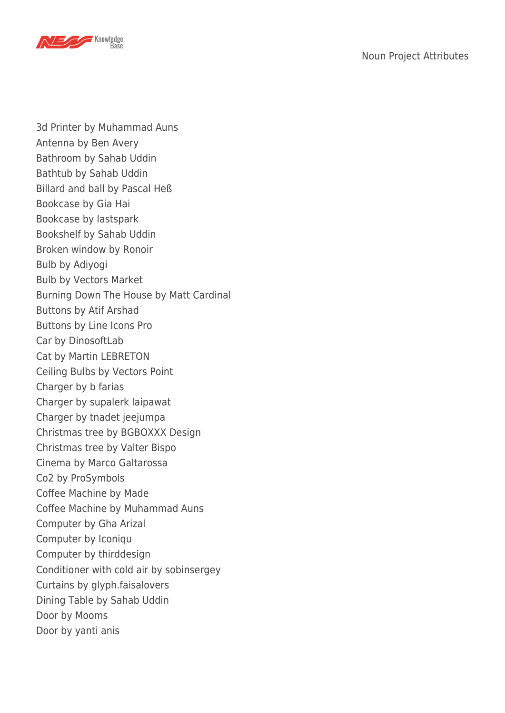

3d Printer by Muhammad Auns Antenna by Ben Avery Bathroom by Sahab Uddin Bathtub by Sahab Uddin Billard and ball by Pascal Heß Bookcase by Gia Hai Bookcase by lastspark Bookshelf by Sahab Uddin Broken window by Ronoir Bulb by Adiyogi Bulb by Vectors Market Burning Down The House by Matt Cardinal Buttons by Atif Arshad Buttons by Line Icons Pro Car by DinosoftLab Cat by Martin LEBRETON Ceiling Bulbs by Vectors Point Charger by b farias Charger by supalerk laipawat Charger by tnadet jeejumpa Christmas tree by BGBOXXX Design Christmas tree by Valter Bispo Cinema by Marco Galtarossa Co2 by ProSymbols Coffee Machine by Made Coffee Machine by Muhammad Auns Computer by Gha Arizal Computer by Iconiqu Computer by thirddesign Conditioner with cold air by sobinsergey Curtains by glyph.faisalovers Dining Table by Sahab Uddin Door by Mooms Door by yanti anis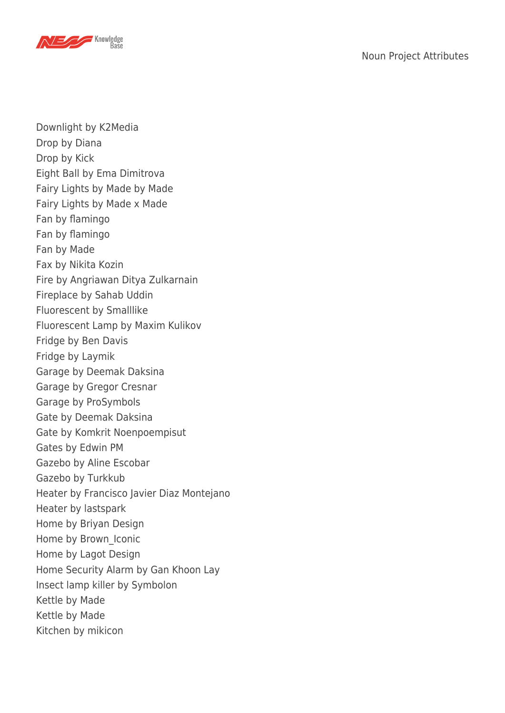

Downlight by K2Media Drop by Diana Drop by Kick Eight Ball by Ema Dimitrova Fairy Lights by Made by Made Fairy Lights by Made x Made Fan by flamingo Fan by flamingo Fan by Made Fax by Nikita Kozin Fire by Angriawan Ditya Zulkarnain Fireplace by Sahab Uddin Fluorescent by Smalllike Fluorescent Lamp by Maxim Kulikov Fridge by Ben Davis Fridge by Laymik Garage by Deemak Daksina Garage by Gregor Cresnar Garage by ProSymbols Gate by Deemak Daksina Gate by Komkrit Noenpoempisut Gates by Edwin PM Gazebo by Aline Escobar Gazebo by Turkkub Heater by Francisco Javier Diaz Montejano Heater by lastspark Home by Briyan Design Home by Brown\_Iconic Home by Lagot Design Home Security Alarm by Gan Khoon Lay Insect lamp killer by Symbolon Kettle by Made Kettle by Made Kitchen by mikicon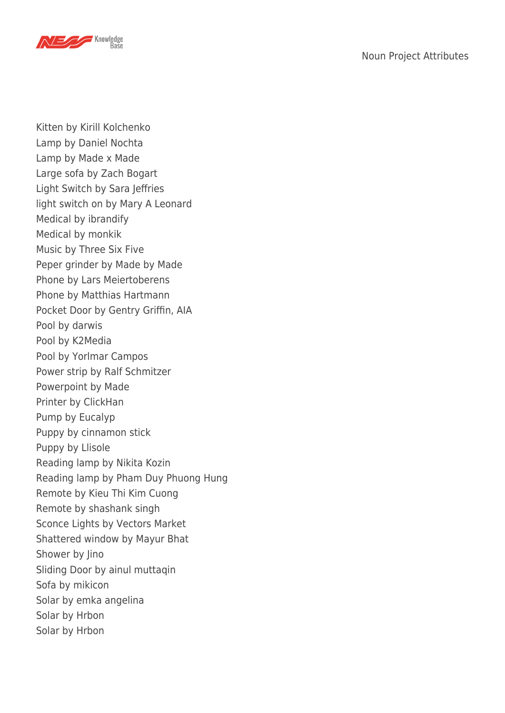

Kitten by Kirill Kolchenko Lamp by Daniel Nochta Lamp by Made x Made Large sofa by Zach Bogart Light Switch by Sara Jeffries light switch on by Mary A Leonard Medical by ibrandify Medical by monkik Music by Three Six Five Peper grinder by Made by Made Phone by Lars Meiertoberens Phone by Matthias Hartmann Pocket Door by Gentry Griffin, AIA Pool by darwis Pool by K2Media Pool by Yorlmar Campos Power strip by Ralf Schmitzer Powerpoint by Made Printer by ClickHan Pump by Eucalyp Puppy by cinnamon stick Puppy by Llisole Reading lamp by Nikita Kozin Reading lamp by Pham Duy Phuong Hung Remote by Kieu Thi Kim Cuong Remote by shashank singh Sconce Lights by Vectors Market Shattered window by Mayur Bhat Shower by Jino Sliding Door by ainul muttaqin Sofa by mikicon Solar by emka angelina Solar by Hrbon Solar by Hrbon